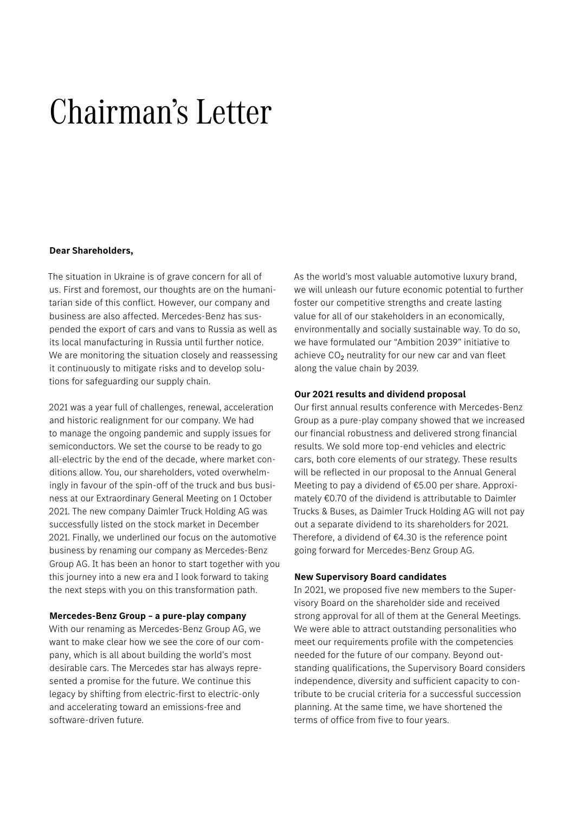# Chairman's Letter

#### **Dear Shareholders,**

The situation in Ukraine is of grave concern for all of us. First and foremost, our thoughts are on the humanitarian side of this conflict. However, our company and business are also affected. Mercedes-Benz has suspended the export of cars and vans to Russia as well as its local manufacturing in Russia until further notice. We are monitoring the situation closely and reassessing it continuously to mitigate risks and to develop solutions for safeguarding our supply chain.

2021 was a year full of challenges, renewal, acceleration and historic realignment for our company. We had to manage the ongoing pandemic and supply issues for semiconductors. We set the course to be ready to go all-electric by the end of the decade, where market conditions allow. You, our shareholders, voted overwhelmingly in favour of the spin-off of the truck and bus business at our Extraordinary General Meeting on 1 October 2021. The new company Daimler Truck Holding AG was successfully listed on the stock market in December 2021. Finally, we underlined our focus on the automotive business by renaming our company as Mercedes-Benz Group AG. It has been an honor to start together with you this journey into a new era and I look forward to taking the next steps with you on this transformation path.

## **Mercedes-Benz Group – a pure-play company**

With our renaming as Mercedes-Benz Group AG, we want to make clear how we see the core of our company, which is all about building the world's most desirable cars. The Mercedes star has always represented a promise for the future. We continue this legacy by shifting from electric-first to electric-only and accelerating toward an emissions-free and software-driven future.

As the world's most valuable automotive luxury brand, we will unleash our future economic potential to further foster our competitive strengths and create lasting value for all of our stakeholders in an economically, environmentally and socially sustainable way. To do so, we have formulated our "Ambition 2039" initiative to achieve CO<sub>2</sub> neutrality for our new car and van fleet along the value chain by 2039.

## **Our 2021 results and dividend proposal**

Our first annual results conference with Mercedes-Benz Group as a pure-play company showed that we increased our financial robustness and delivered strong financial results. We sold more top-end vehicles and electric cars, both core elements of our strategy. These results will be reflected in our proposal to the Annual General Meeting to pay a dividend of €5.00 per share. Approximately €0.70 of the dividend is attributable to Daimler Trucks & Buses, as Daimler Truck Holding AG will not pay out a separate dividend to its shareholders for 2021. Therefore, a dividend of €4.30 is the reference point going forward for Mercedes-Benz Group AG.

## **New Supervisory Board candidates**

In 2021, we proposed five new members to the Supervisory Board on the shareholder side and received strong approval for all of them at the General Meetings. We were able to attract outstanding personalities who meet our requirements profile with the competencies needed for the future of our company. Beyond outstanding qualifications, the Supervisory Board considers independence, diversity and sufficient capacity to contribute to be crucial criteria for a successful succession planning. At the same time, we have shortened the terms of office from five to four years.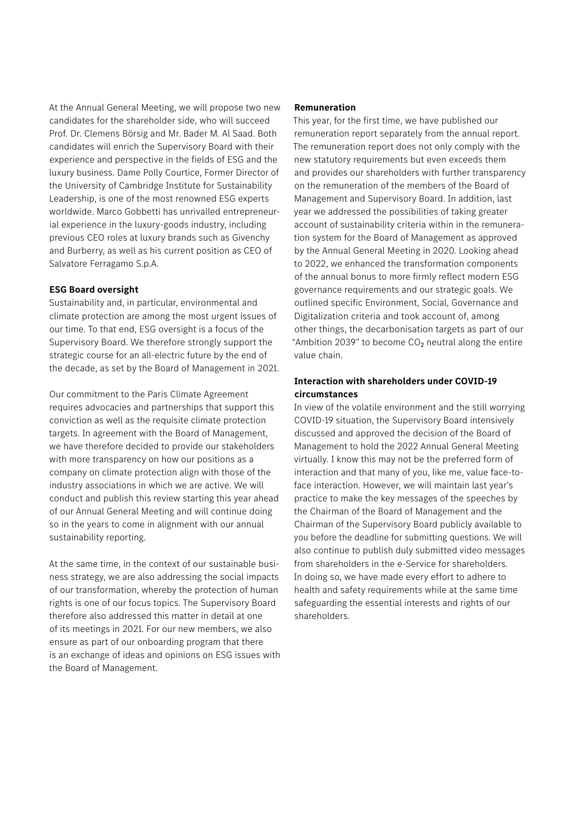At the Annual General Meeting, we will propose two new candidates for the shareholder side, who will succeed Prof. Dr. Clemens Börsig and Mr. Bader M. Al Saad. Both candidates will enrich the Supervisory Board with their experience and perspective in the fields of ESG and the luxury business. Dame Polly Courtice, Former Director of the University of Cambridge Institute for Sustainability Leadership, is one of the most renowned ESG experts worldwide. Marco Gobbetti has unrivalled entrepreneurial experience in the luxury-goods industry, including previous CEO roles at luxury brands such as Givenchy and Burberry, as well as his current position as CEO of Salvatore Ferragamo S.p.A.

## **ESG Board oversight**

Sustainability and, in particular, environmental and climate protection are among the most urgent issues of our time. To that end, ESG oversight is a focus of the Supervisory Board. We therefore strongly support the strategic course for an all-electric future by the end of the decade, as set by the Board of Management in 2021.

Our commitment to the Paris Climate Agreement requires advocacies and partnerships that support this conviction as well as the requisite climate protection targets. In agreement with the Board of Management, we have therefore decided to provide our stakeholders with more transparency on how our positions as a company on climate protection align with those of the industry associations in which we are active. We will conduct and publish this review starting this year ahead of our Annual General Meeting and will continue doing so in the years to come in alignment with our annual sustainability reporting.

At the same time, in the context of our sustainable business strategy, we are also addressing the social impacts of our transformation, whereby the protection of human rights is one of our focus topics. The Supervisory Board therefore also addressed this matter in detail at one of its meetings in 2021. For our new members, we also ensure as part of our onboarding program that there is an exchange of ideas and opinions on ESG issues with the Board of Management.

## **Remuneration**

This year, for the first time, we have published our remuneration report separately from the annual report. The remuneration report does not only comply with the new statutory requirements but even exceeds them and provides our shareholders with further transparency on the remuneration of the members of the Board of Management and Supervisory Board. In addition, last year we addressed the possibilities of taking greater account of sustainability criteria within in the remuneration system for the Board of Management as approved by the Annual General Meeting in 2020. Looking ahead to 2022, we enhanced the transformation components of the annual bonus to more firmly reflect modern ESG governance requirements and our strategic goals. We outlined specific Environment, Social, Governance and Digitalization criteria and took account of, among other things, the decarbonisation targets as part of our "Ambition 2039" to become  $CO<sub>2</sub>$  neutral along the entire value chain.

# **Interaction with shareholders under COVID-19 circumstances**

In view of the volatile environment and the still worrying COVID-19 situation, the Supervisory Board intensively discussed and approved the decision of the Board of Management to hold the 2022 Annual General Meeting virtually. I know this may not be the preferred form of interaction and that many of you, like me, value face-toface interaction. However, we will maintain last year's practice to make the key messages of the speeches by the Chairman of the Board of Management and the Chairman of the Supervisory Board publicly available to you before the deadline for submitting questions. We will also continue to publish duly submitted video messages from shareholders in the e-Service for shareholders. In doing so, we have made every effort to adhere to health and safety requirements while at the same time safeguarding the essential interests and rights of our shareholders.